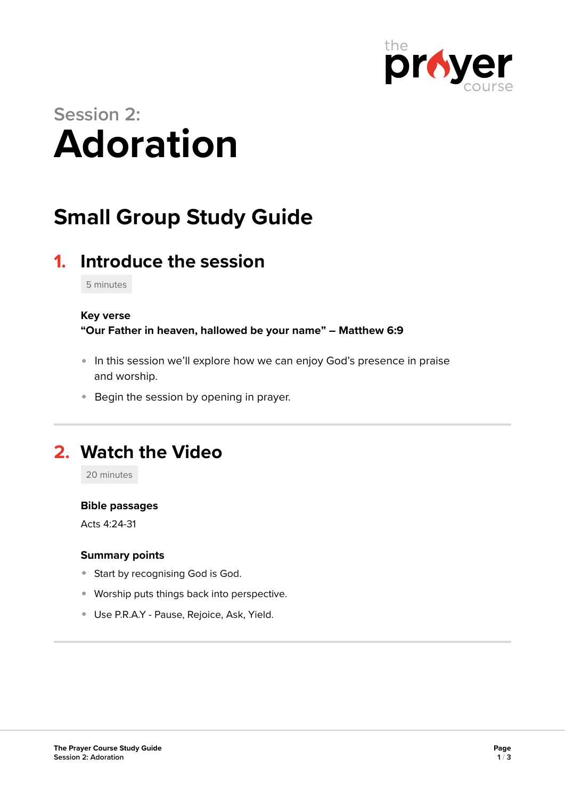

# **Session 2: Adoration**

## **Small Group Study Guide**

## **1. Introduce the session**

5 minutes

#### **Key verse**

**"Our Father in heaven, hallowed be your name" – Matthew 6:9** 

- In this session we'll explore how we can enjoy God's presence in praise and worship.
- **Begin the session by opening in prayer.**

### **2. Watch the Video**

20 minutes

#### **Bible passages**

Acts 4:24-31

#### **Summary points**

- **Start by recognising God is God.**
- Worship puts things back into perspective.
- Use P.R.A.Y Pause, Rejoice, Ask, Yield.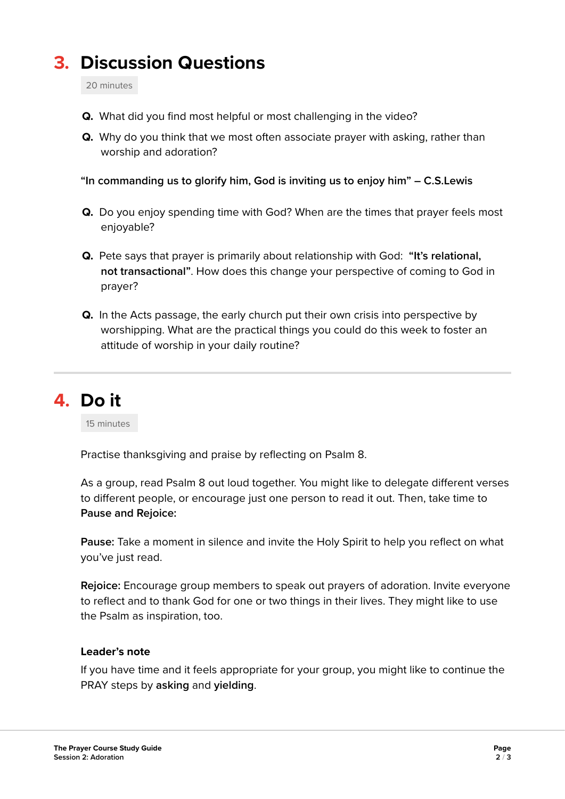## **3. Discussion Questions**

20 minutes

- **Q.** What did you find most helpful or most challenging in the video?
- **Q.** Why do you think that we most often associate prayer with asking, rather than worship and adoration?

**"In commanding us to glorify him, God is inviting us to enjoy him" – C.S.Lewis** 

- **Q.** Do you enjoy spending time with God? When are the times that prayer feels most enjoyable?
- **Q.** Pete says that prayer is primarily about relationship with God: **"It's relational, not transactional"**. How does this change your perspective of coming to God in prayer?
- **Q.** In the Acts passage, the early church put their own crisis into perspective by worshipping. What are the practical things you could do this week to foster an attitude of worship in your daily routine?

**4. Do it** 

15 minutes

Practise thanksgiving and praise by reflecting on Psalm 8.

As a group, read Psalm 8 out loud together. You might like to delegate different verses to different people, or encourage just one person to read it out. Then, take time to **Pause and Rejoice:**

**Pause:** Take a moment in silence and invite the Holy Spirit to help you reflect on what you've just read.

**Rejoice:** Encourage group members to speak out prayers of adoration. Invite everyone to reflect and to thank God for one or two things in their lives. They might like to use the Psalm as inspiration, too.

#### **Leader's note**

If you have time and it feels appropriate for your group, you might like to continue the PRAY steps by **asking** and **yielding**.